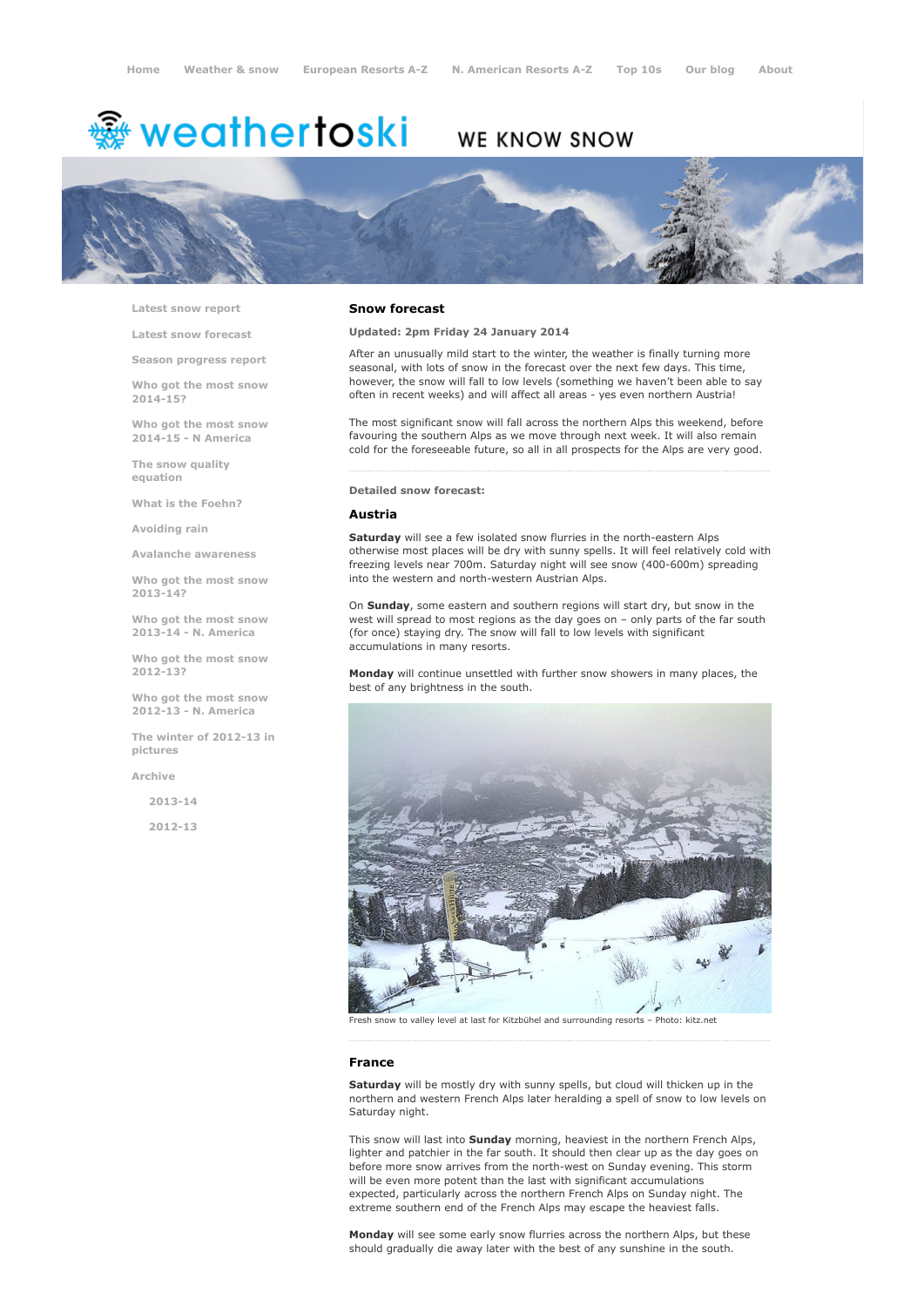# <del>靈</del> weathertoski

# WE KNOW SNOW



Latest snow [report](http://www.weathertoski.co.uk/weather-snow/latest-snow-report/)

Latest snow [forecast](http://www.weathertoski.co.uk/weather-snow/latest-snow-forecast/)

Season [progress](http://www.weathertoski.co.uk/weather-snow/season-progress-report/) report

Who got the most snow 2014-15?

Who got the most snow 2014-15 - N America

The snow quality [equation](http://www.weathertoski.co.uk/weather-snow/the-snow-quality-equation/)

What is the [Foehn?](http://www.weathertoski.co.uk/weather-snow/what-is-the-foehn/)

[Avoiding](http://www.weathertoski.co.uk/weather-snow/avoiding-rain/) rain

Avalanche [awareness](http://www.weathertoski.co.uk/weather-snow/avalanche-awareness/)

Who got the most snow 2013-14?

Who got the most snow 2013-14 - N. America

Who got the most snow 2012-13?

Who got the most snow 2012-13 - N. America

The winter of 2012-13 in pictures

[Archive](http://www.weathertoski.co.uk/weather-snow/archive/)

2013-14

2012-13

#### Snow forecast

Updated: 2pm Friday 24 January 2014

After an unusually mild start to the winter, the weather is finally turning more seasonal, with lots of snow in the forecast over the next few days. This time, however, the snow will fall to low levels (something we haven't been able to say often in recent weeks) and will affect all areas - yes even northern Austria!

The most significant snow will fall across the northern Alps this weekend, before favouring the southern Alps as we move through next week. It will also remain cold for the foreseeable future, so all in all prospects for the Alps are very good.

Detailed snow forecast:

#### Austria

Saturday will see a few isolated snow flurries in the north-eastern Alps otherwise most places will be dry with sunny spells. It will feel relatively cold with freezing levels near 700m. Saturday night will see snow (400-600m) spreading into the western and north-western Austrian Alps.

On Sunday, some eastern and southern regions will start dry, but snow in the west will spread to most regions as the day goes on – only parts of the far south (for once) staying dry. The snow will fall to low levels with significant accumulations in many resorts.

Monday will continue unsettled with further snow showers in many places, the best of any brightness in the south.



Fresh snow to valley level at last for Kitzbühel and surrounding resorts – Photo: kitz.net

# France

Saturday will be mostly dry with sunny spells, but cloud will thicken up in the northern and western French Alps later heralding a spell of snow to low levels on Saturday night.

This snow will last into Sunday morning, heaviest in the northern French Alps, lighter and patchier in the far south. It should then clear up as the day goes on before more snow arrives from the north-west on Sunday evening. This storm will be even more potent than the last with significant accumulations expected, particularly across the northern French Alps on Sunday night. The extreme southern end of the French Alps may escape the heaviest falls.

Monday will see some early snow flurries across the northern Alps, but these should gradually die away later with the best of any sunshine in the south.